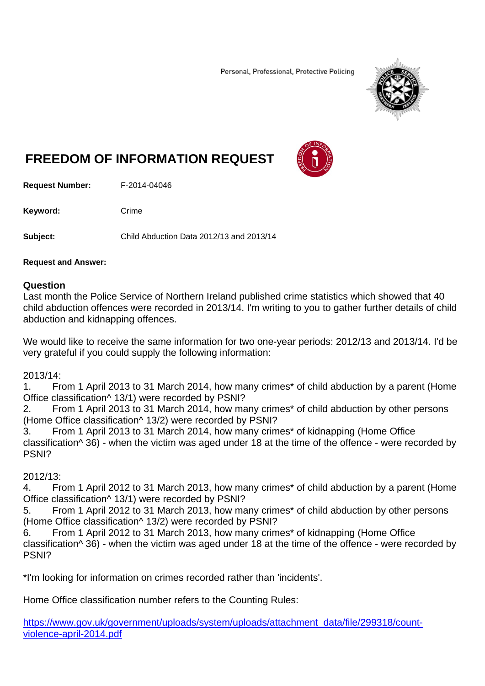Personal, Professional, Protective Policing



# **FREEDOM OF INFORMATION REQUEST**

**Request Number:** F-2014-04046

Keyword: Crime

**Subject:** Child Abduction Data 2012/13 and 2013/14

#### **Request and Answer:**

#### **Question**

Last month the Police Service of Northern Ireland published crime statistics which showed that 40 child abduction offences were recorded in 2013/14. I'm writing to you to gather further details of child abduction and kidnapping offences.

We would like to receive the same information for two one-year periods: 2012/13 and 2013/14. I'd be very grateful if you could supply the following information:

2013/14:

1. From 1 April 2013 to 31 March 2014, how many crimes\* of child abduction by a parent (Home Office classification^ 13/1) were recorded by PSNI?

2. From 1 April 2013 to 31 March 2014, how many crimes\* of child abduction by other persons (Home Office classification^ 13/2) were recorded by PSNI?

3. From 1 April 2013 to 31 March 2014, how many crimes\* of kidnapping (Home Office classification^ 36) - when the victim was aged under 18 at the time of the offence - were recorded by PSNI?

## 2012/13:

4. From 1 April 2012 to 31 March 2013, how many crimes\* of child abduction by a parent (Home Office classification^ 13/1) were recorded by PSNI?

5. From 1 April 2012 to 31 March 2013, how many crimes\* of child abduction by other persons (Home Office classification^ 13/2) were recorded by PSNI?

6. From 1 April 2012 to 31 March 2013, how many crimes\* of kidnapping (Home Office classification $\wedge$  36) - when the victim was aged under 18 at the time of the offence - were recorded by PSNI?

\*I'm looking for information on crimes recorded rather than 'incidents'.

Home Office classification number refers to the Counting Rules:

https://www.gov.uk/government/uploads/system/uploads/attachment\_data/file/299318/countviolence-april-2014.pdf